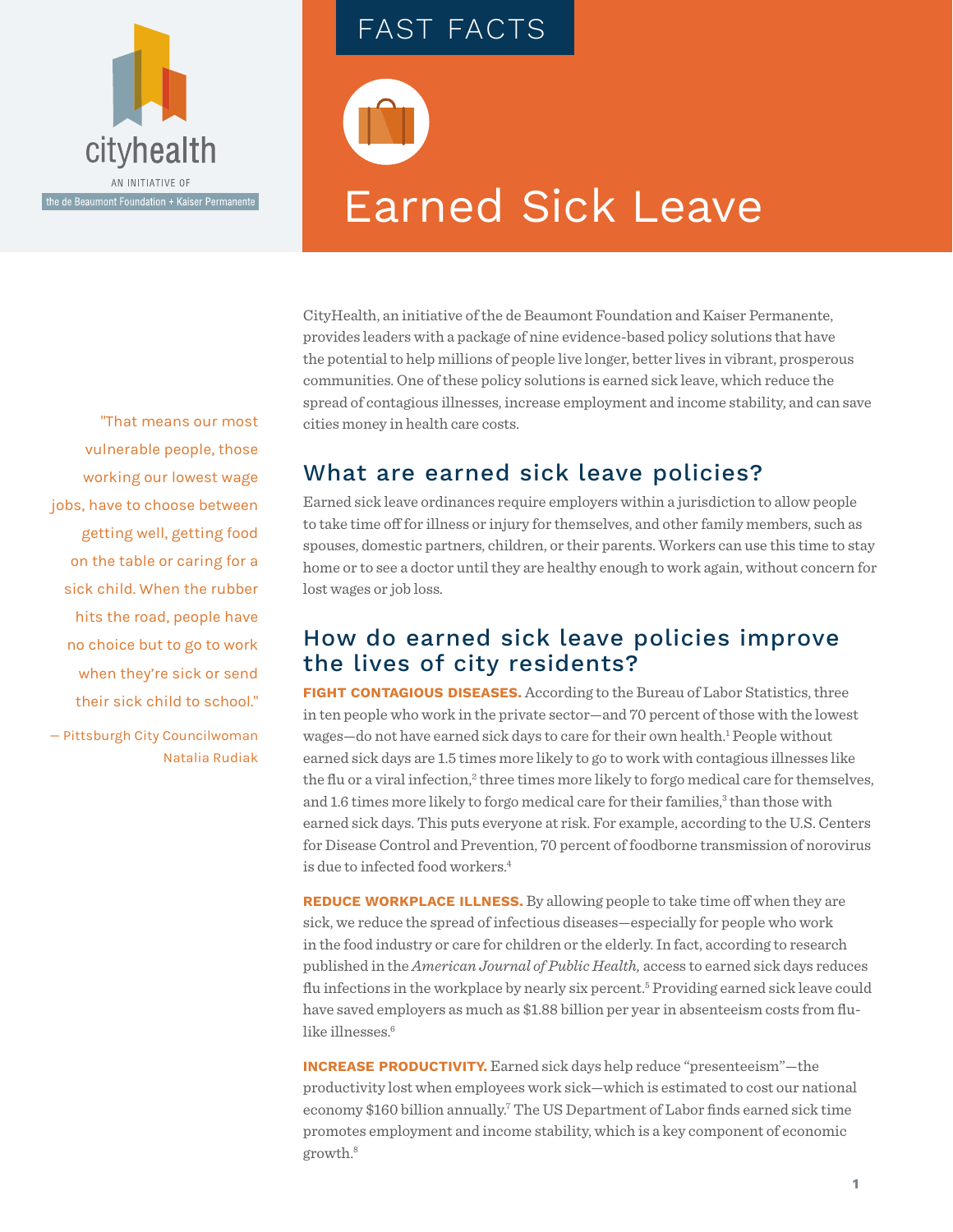

# FAST FACTS

# Earned Sick Leave

CityHealth, an initiative of the de Beaumont Foundation and Kaiser Permanente, provides leaders with a package of nine evidence-based policy solutions that have the potential to help millions of people live longer, better lives in vibrant, prosperous communities. One of these policy solutions is earned sick leave, which reduce the spread of contagious illnesses, increase employment and income stability, and can save cities money in health care costs.

# What are earned sick leave policies?

Earned sick leave ordinances require employers within a jurisdiction to allow people to take time off for illness or injury for themselves, and other family members, such as spouses, domestic partners, children, or their parents. Workers can use this time to stay home or to see a doctor until they are healthy enough to work again, without concern for lost wages or job loss.

### How do earned sick leave policies improve the lives of city residents?

**FIGHT CONTAGIOUS DISEASES.** According to the Bureau of Labor Statistics, three in ten people who work in the private sector—and 70 percent of those with the lowest wages-do not have earned sick days to care for their own health.<sup>1</sup> People without earned sick days are 1.5 times more likely to go to work with contagious illnesses like the flu or a viral infection,<sup>2</sup> three times more likely to forgo medical care for themselves, and 1.6 times more likely to forgo medical care for their families,<sup>3</sup> than those with earned sick days. This puts everyone at risk. For example, according to the U.S. Centers for Disease Control and Prevention, 70 percent of foodborne transmission of norovirus is due to infected food workers.<sup>4</sup>

**REDUCE WORKPLACE ILLNESS.** By allowing people to take time off when they are sick, we reduce the spread of infectious diseases—especially for people who work in the food industry or care for children or the elderly. In fact, according to research published in the *American Journal of Public Health,* access to earned sick days reduces flu infections in the workplace by nearly six percent.<sup>5</sup> Providing earned sick leave could have saved employers as much as \$1.88 billion per year in absenteeism costs from flulike illnesses.<sup>6</sup>

**INCREASE PRODUCTIVITY.** Earned sick days help reduce "presenteeism"—the productivity lost when employees work sick—which is estimated to cost our national economy \$160 billion annually.<sup>7</sup> The US Department of Labor finds earned sick time promotes employment and income stability, which is a key component of economic growth.8

"That means our most vulnerable people, those working our lowest wage jobs, have to choose between getting well, getting food on the table or caring for a sick child. When the rubber hits the road, people have no choice but to go to work when they're sick or send their sick child to school."

— Pittsburgh City Councilwoman Natalia Rudiak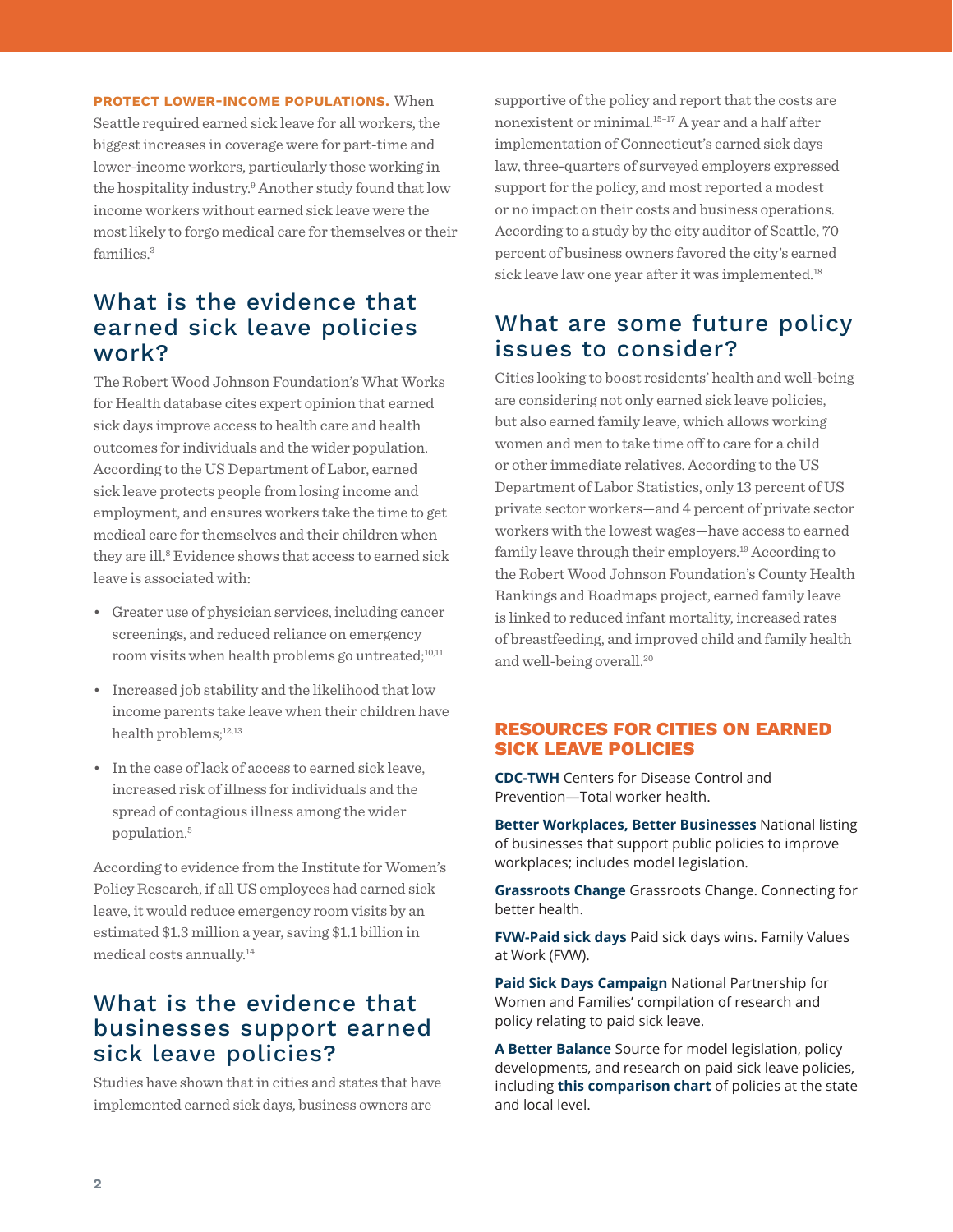**PROTECT LOWER-INCOME POPULATIONS.** When Seattle required earned sick leave for all workers, the biggest increases in coverage were for part-time and lower-income workers, particularly those working in the hospitality industry.9 Another study found that low income workers without earned sick leave were the most likely to forgo medical care for themselves or their families.3

## What is the evidence that earned sick leave policies work?

The Robert Wood Johnson Foundation's What Works for Health database cites expert opinion that earned sick days improve access to health care and health outcomes for individuals and the wider population. According to the US Department of Labor, earned sick leave protects people from losing income and employment, and ensures workers take the time to get medical care for themselves and their children when they are ill.8 Evidence shows that access to earned sick leave is associated with:

- Greater use of physician services, including cancer screenings, and reduced reliance on emergency room visits when health problems go untreated;<sup>10,11</sup>
- Increased job stability and the likelihood that low income parents take leave when their children have health problems;12,13
- In the case of lack of access to earned sick leave, increased risk of illness for individuals and the spread of contagious illness among the wider population.5

According to evidence from the Institute for Women's Policy Research, if all US employees had earned sick leave, it would reduce emergency room visits by an estimated \$1.3 million a year, saving \$1.1 billion in medical costs annually.14

## What is the evidence that businesses support earned sick leave policies?

Studies have shown that in cities and states that have implemented earned sick days, business owners are

supportive of the policy and report that the costs are nonexistent or minimal.15–17 A year and a half after implementation of Connecticut's earned sick days law, three-quarters of surveyed employers expressed support for the policy, and most reported a modest or no impact on their costs and business operations. According to a study by the city auditor of Seattle, 70 percent of business owners favored the city's earned sick leave law one year after it was implemented.<sup>18</sup>

### What are some future policy issues to consider?

Cities looking to boost residents' health and well-being are considering not only earned sick leave policies, but also earned family leave, which allows working women and men to take time off to care for a child or other immediate relatives. According to the US Department of Labor Statistics, only 13 percent of US private sector workers—and 4 percent of private sector workers with the lowest wages—have access to earned family leave through their employers.<sup>19</sup> According to the Robert Wood Johnson Foundation's County Health Rankings and Roadmaps project, earned family leave is linked to reduced infant mortality, increased rates of breastfeeding, and improved child and family health and well-being overall.<sup>20</sup>

### **RESOURCES FOR CITIES ON EARNED SICK LEAVE POLICIES**

**[CDC-TWH](https://www.cdc.gov/niosh/programs/totalworkerhealth/)** Centers for Disease Control and Prevention—Total worker health.

**[Better Workplaces, Better Businesses](http://betterwbb.org/about-2/)** National listing of businesses that support public policies to improve workplaces; includes model legislation.

**[Grassroots Change](https://grassrootschange.net/category/paid-sick-days/)** Grassroots Change. Connecting for better health.

**[FVW-Paid sick days](http://familyvaluesatwork.org/media-center/timeline-of-wins)** Paid sick days wins. Family Values at Work (FVW).

**[Paid Sick Days Campaign](http://www.paidsickdays.org/)** National Partnership for Women and Families' compilation of research and policy relating to paid sick leave.

**[A Better Balance](https://www.abetterbalance.org/resources/paid-sick-time/)** Source for model legislation, policy developments, and research on paid sick leave policies, including **[this comparison chart](https://www.abetterbalance.org/paid-sick-time-laws/)** of policies at the state and local level.